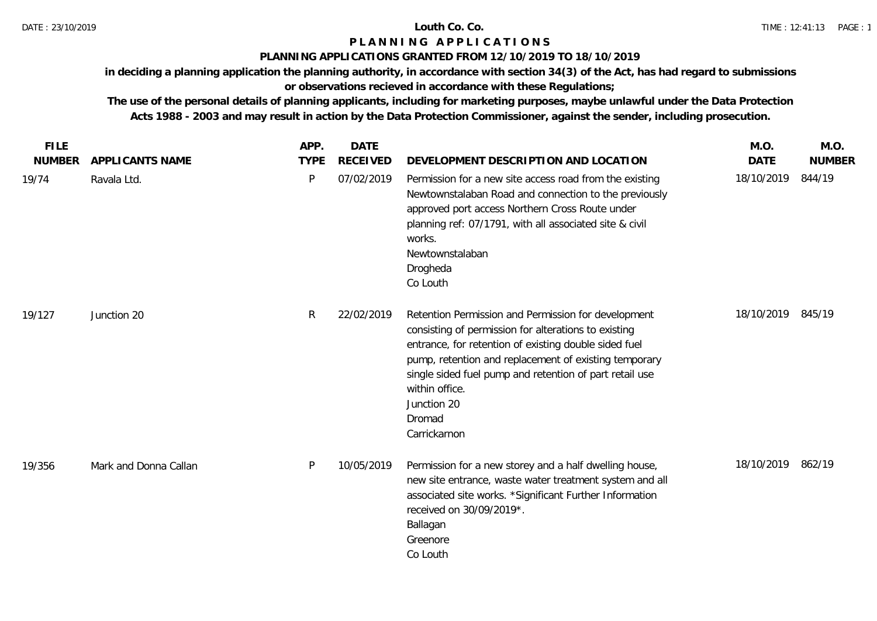### **PLANNING APPLICATIONS GRANTED FROM 12/10/2019 TO 18/10/2019**

**in deciding a planning application the planning authority, in accordance with section 34(3) of the Act, has had regard to submissions** 

# **or observations recieved in accordance with these Regulations;**

| <b>FILE</b>   |                       | APP.         | <b>DATE</b>     |                                                                                                                                                                                                                                                                                                                                                     | M.O.              | M.O.          |
|---------------|-----------------------|--------------|-----------------|-----------------------------------------------------------------------------------------------------------------------------------------------------------------------------------------------------------------------------------------------------------------------------------------------------------------------------------------------------|-------------------|---------------|
| <b>NUMBER</b> | APPLICANTS NAME       | <b>TYPE</b>  | <b>RECEIVED</b> | DEVELOPMENT DESCRIPTION AND LOCATION                                                                                                                                                                                                                                                                                                                | <b>DATE</b>       | <b>NUMBER</b> |
| 19/74         | Ravala Ltd.           | P            | 07/02/2019      | Permission for a new site access road from the existing<br>Newtownstalaban Road and connection to the previously<br>approved port access Northern Cross Route under<br>planning ref: 07/1791, with all associated site & civil<br>works.<br>Newtownstalaban<br>Drogheda<br>Co Louth                                                                 | 18/10/2019        | 844/19        |
| 19/127        | Junction 20           | $\mathsf{R}$ | 22/02/2019      | Retention Permission and Permission for development<br>consisting of permission for alterations to existing<br>entrance, for retention of existing double sided fuel<br>pump, retention and replacement of existing temporary<br>single sided fuel pump and retention of part retail use<br>within office.<br>Junction 20<br>Dromad<br>Carrickarnon | 18/10/2019 845/19 |               |
| 19/356        | Mark and Donna Callan | P            | 10/05/2019      | Permission for a new storey and a half dwelling house,<br>new site entrance, waste water treatment system and all<br>associated site works. *Significant Further Information<br>received on 30/09/2019*.<br>Ballagan<br>Greenore<br>Co Louth                                                                                                        | 18/10/2019 862/19 |               |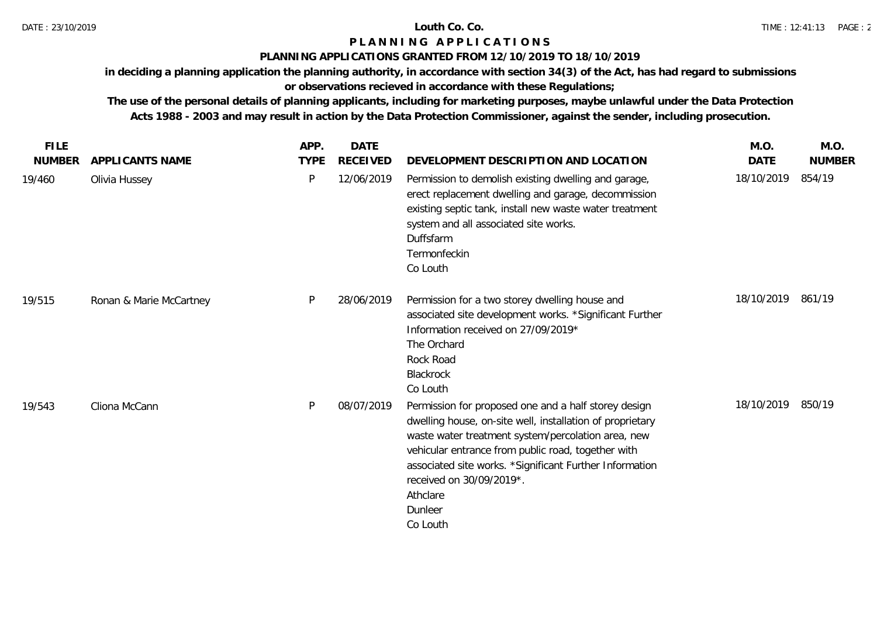### **PLANNING APPLICATIONS GRANTED FROM 12/10/2019 TO 18/10/2019**

**in deciding a planning application the planning authority, in accordance with section 34(3) of the Act, has had regard to submissions** 

# **or observations recieved in accordance with these Regulations;**

| <b>FILE</b>   |                         | APP.        | <b>DATE</b>     |                                                                                                                                                                                                                                                                                                                                                         | M.O.              | M.O.          |
|---------------|-------------------------|-------------|-----------------|---------------------------------------------------------------------------------------------------------------------------------------------------------------------------------------------------------------------------------------------------------------------------------------------------------------------------------------------------------|-------------------|---------------|
| <b>NUMBER</b> | APPLICANTS NAME         | <b>TYPE</b> | <b>RECEIVED</b> | DEVELOPMENT DESCRIPTION AND LOCATION                                                                                                                                                                                                                                                                                                                    | <b>DATE</b>       | <b>NUMBER</b> |
| 19/460        | Olivia Hussey           | P           | 12/06/2019      | Permission to demolish existing dwelling and garage,<br>erect replacement dwelling and garage, decommission<br>existing septic tank, install new waste water treatment<br>system and all associated site works.<br>Duffsfarm<br>Termonfeckin<br>Co Louth                                                                                                | 18/10/2019        | 854/19        |
| 19/515        | Ronan & Marie McCartney | P           | 28/06/2019      | Permission for a two storey dwelling house and<br>associated site development works. *Significant Further<br>Information received on 27/09/2019*<br>The Orchard<br>Rock Road<br>Blackrock<br>Co Louth                                                                                                                                                   | 18/10/2019 861/19 |               |
| 19/543        | Cliona McCann           | P           | 08/07/2019      | Permission for proposed one and a half storey design<br>dwelling house, on-site well, installation of proprietary<br>waste water treatment system/percolation area, new<br>vehicular entrance from public road, together with<br>associated site works. *Significant Further Information<br>received on 30/09/2019*.<br>Athclare<br>Dunleer<br>Co Louth | 18/10/2019        | 850/19        |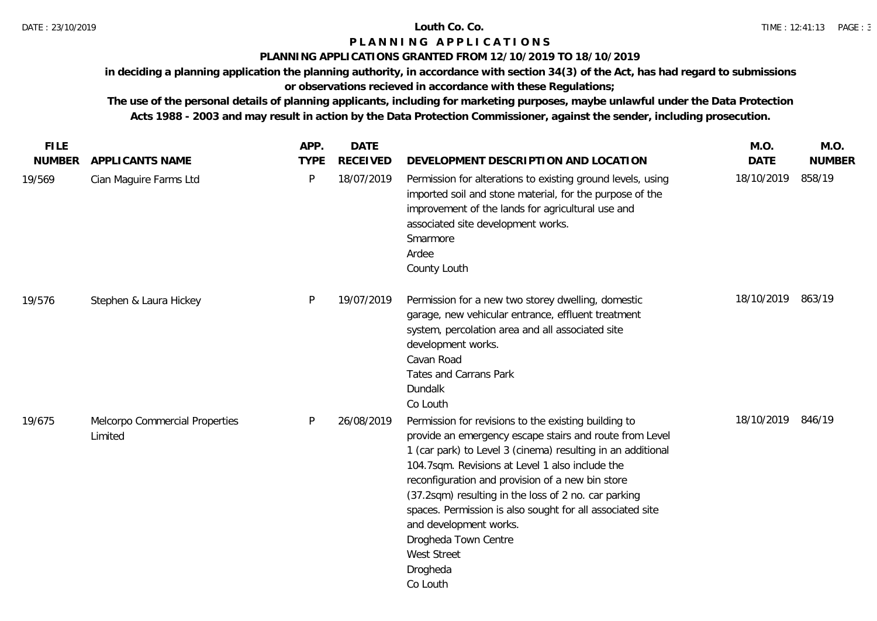### **PLANNING APPLICATIONS GRANTED FROM 12/10/2019 TO 18/10/2019**

**in deciding a planning application the planning authority, in accordance with section 34(3) of the Act, has had regard to submissions** 

# **or observations recieved in accordance with these Regulations;**

| <b>FILE</b><br><b>NUMBER</b> | APPLICANTS NAME                           | APP.<br><b>TYPE</b> | <b>DATE</b><br><b>RECEIVED</b> | DEVELOPMENT DESCRIPTION AND LOCATION                                                                                                                                                                                                                                                                                                                                                                                                                                                                | M.O.<br><b>DATE</b> | M.O.<br><b>NUMBER</b> |
|------------------------------|-------------------------------------------|---------------------|--------------------------------|-----------------------------------------------------------------------------------------------------------------------------------------------------------------------------------------------------------------------------------------------------------------------------------------------------------------------------------------------------------------------------------------------------------------------------------------------------------------------------------------------------|---------------------|-----------------------|
| 19/569                       | Cian Maguire Farms Ltd                    | P                   | 18/07/2019                     | Permission for alterations to existing ground levels, using<br>imported soil and stone material, for the purpose of the<br>improvement of the lands for agricultural use and<br>associated site development works.<br>Smarmore<br>Ardee<br>County Louth                                                                                                                                                                                                                                             | 18/10/2019          | 858/19                |
| 19/576                       | Stephen & Laura Hickey                    | P                   | 19/07/2019                     | Permission for a new two storey dwelling, domestic<br>garage, new vehicular entrance, effluent treatment<br>system, percolation area and all associated site<br>development works.<br>Cavan Road<br><b>Tates and Carrans Park</b><br>Dundalk<br>Co Louth                                                                                                                                                                                                                                            | 18/10/2019 863/19   |                       |
| 19/675                       | Melcorpo Commercial Properties<br>Limited | P                   | 26/08/2019                     | Permission for revisions to the existing building to<br>provide an emergency escape stairs and route from Level<br>1 (car park) to Level 3 (cinema) resulting in an additional<br>104.7sqm. Revisions at Level 1 also include the<br>reconfiguration and provision of a new bin store<br>(37.2sqm) resulting in the loss of 2 no. car parking<br>spaces. Permission is also sought for all associated site<br>and development works.<br>Drogheda Town Centre<br>West Street<br>Drogheda<br>Co Louth | 18/10/2019 846/19   |                       |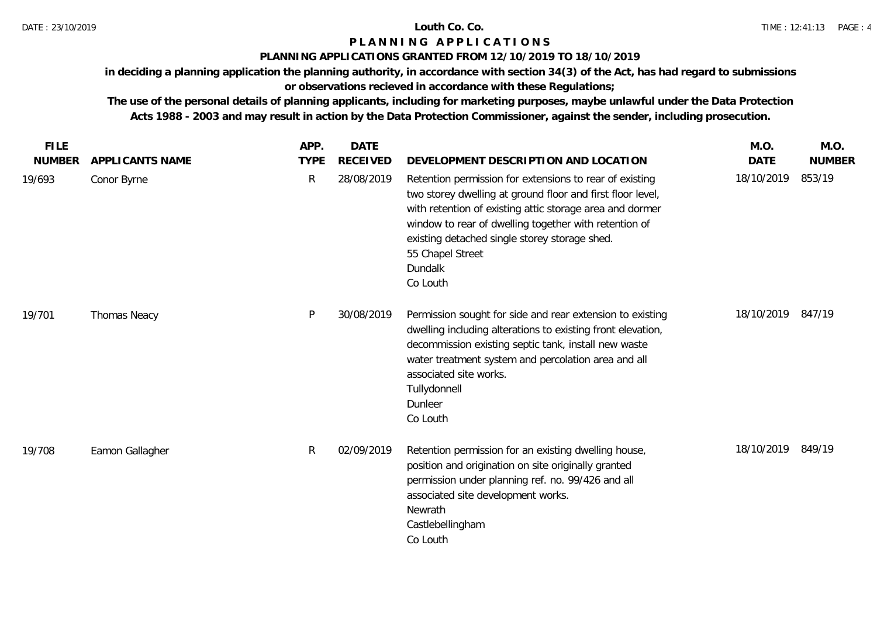### **PLANNING APPLICATIONS GRANTED FROM 12/10/2019 TO 18/10/2019**

**in deciding a planning application the planning authority, in accordance with section 34(3) of the Act, has had regard to submissions** 

# **or observations recieved in accordance with these Regulations;**

| <b>FILE</b>   |                 | APP.         | <b>DATE</b>     |                                                                                                                                                                                                                                                                                                                                        | M.O.              | M.O.          |
|---------------|-----------------|--------------|-----------------|----------------------------------------------------------------------------------------------------------------------------------------------------------------------------------------------------------------------------------------------------------------------------------------------------------------------------------------|-------------------|---------------|
| <b>NUMBER</b> | APPLICANTS NAME | <b>TYPE</b>  | <b>RECEIVED</b> | DEVELOPMENT DESCRIPTION AND LOCATION                                                                                                                                                                                                                                                                                                   | <b>DATE</b>       | <b>NUMBER</b> |
| 19/693        | Conor Byrne     | $\mathsf{R}$ | 28/08/2019      | Retention permission for extensions to rear of existing<br>two storey dwelling at ground floor and first floor level,<br>with retention of existing attic storage area and dormer<br>window to rear of dwelling together with retention of<br>existing detached single storey storage shed.<br>55 Chapel Street<br>Dundalk<br>Co Louth | 18/10/2019        | 853/19        |
| 19/701        | Thomas Neacy    | P            | 30/08/2019      | Permission sought for side and rear extension to existing<br>dwelling including alterations to existing front elevation,<br>decommission existing septic tank, install new waste<br>water treatment system and percolation area and all<br>associated site works.<br>Tullydonnell<br>Dunleer<br>Co Louth                               | 18/10/2019        | 847/19        |
| 19/708        | Eamon Gallagher | $\mathsf{R}$ | 02/09/2019      | Retention permission for an existing dwelling house,<br>position and origination on site originally granted<br>permission under planning ref. no. 99/426 and all<br>associated site development works.<br>Newrath<br>Castlebellingham<br>Co Louth                                                                                      | 18/10/2019 849/19 |               |